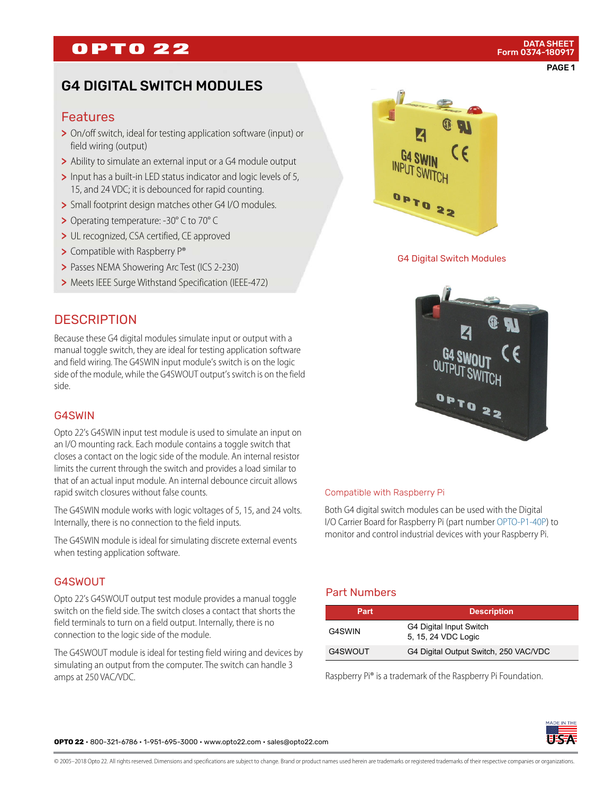## **OPTO 22**

## G4 DIGITAL SWITCH MODULES

#### Features

- > On/off switch, ideal for testing application software (input) or field wiring (output)
- > Ability to simulate an external input or a G4 module output
- > Input has a built-in LED status indicator and logic levels of 5, 15, and 24 VDC; it is debounced for rapid counting.
- > Small footprint design matches other G4 I/O modules.
- > Operating temperature: -30° C to 70° C
- > UL recognized, CSA certified, CE approved
- > Compatible with Raspberry P®

rapid switch closures without false counts.

connection to the logic side of the module.

when testing application software.

Internally, there is no connection to the field inputs.

**DESCRIPTION** 

side.

G4SWIN

G4SWOUT

amps at 250 VAC/VDC.

- > Passes NEMA Showering Arc Test (ICS 2-230)
- > Meets IEEE Surge Withstand Specification (IEEE-472)

Because these G4 digital modules simulate input or output with a manual toggle switch, they are ideal for testing application software and field wiring. The G4SWIN input module's switch is on the logic side of the module, while the G4SWOUT output's switch is on the field

Opto 22's G4SWIN input test module is used to simulate an input on an I/O mounting rack. Each module contains a toggle switch that closes a contact on the logic side of the module. An internal resistor limits the current through the switch and provides a load similar to that of an actual input module. An internal debounce circuit allows

The G4SWIN module works with logic voltages of 5, 15, and 24 volts.

The G4SWIN module is ideal for simulating discrete external events

Opto 22's G4SWOUT output test module provides a manual toggle switch on the field side. The switch closes a contact that shorts the field terminals to turn on a field output. Internally, there is no

The G4SWOUT module is ideal for testing field wiring and devices by simulating an output from the computer. The switch can handle 3



G4 Digital Switch Modules



# Compatible with Raspberry Pi

Both G4 digital switch modules can be used with the Digital I/O Carrier Board for Raspberry Pi (part number [OPTO-P1-40P\)](http://www.opto22.com/site/pr_details.aspx?cid=4&item=OPTO-P1-40P) to monitor and control industrial devices with your Raspberry Pi.

### Part Numbers

| Part    | <b>Description</b>                             |  |
|---------|------------------------------------------------|--|
| G4SWIN  | G4 Digital Input Switch<br>5, 15, 24 VDC Logic |  |
| G4SWOUT | G4 Digital Output Switch, 250 VAC/VDC          |  |

Raspberry Pi® is a trademark of the Raspberry Pi Foundation.



**OPTO 22** • 800-321-6786 • 1-951-695-3000 • www.opto22.com • sales@opto22.com

© 2005–2018 Opto 22. All rights reserved. Dimensions and specifications are subject to change. Brand or product names used herein are trademarks or registered trademarks of their respective companies or organizations.

#### PAGE 1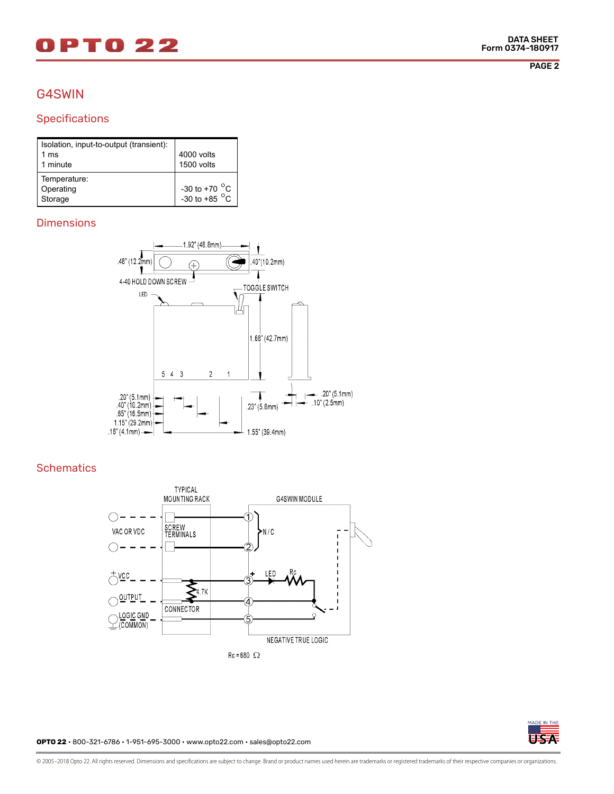# DPT0 22

PAGE 2

## G4SWIN

### Specifications

| Isolation, input-to-output (transient): |                         |
|-----------------------------------------|-------------------------|
| 1 ms                                    | 4000 volts              |
| 1 minute                                | 1500 volts              |
| Temperature:                            |                         |
| Operating                               | -30 to +70 $^{\circ}$ C |
| Storage                                 | -30 to +85 $^{\circ}$ C |

#### **Dimensions**



#### **Schematics**





**OPTO 22** • 800-321-6786 • 1-951-695-3000 • www.opto22.com • sales@opto22.com

© 2005–2018 Opto 22. All rights reserved. Dimensions and specifications are subject to change. Brand or product names used herein are trademarks or registered trademarks of their respective companies or organizations.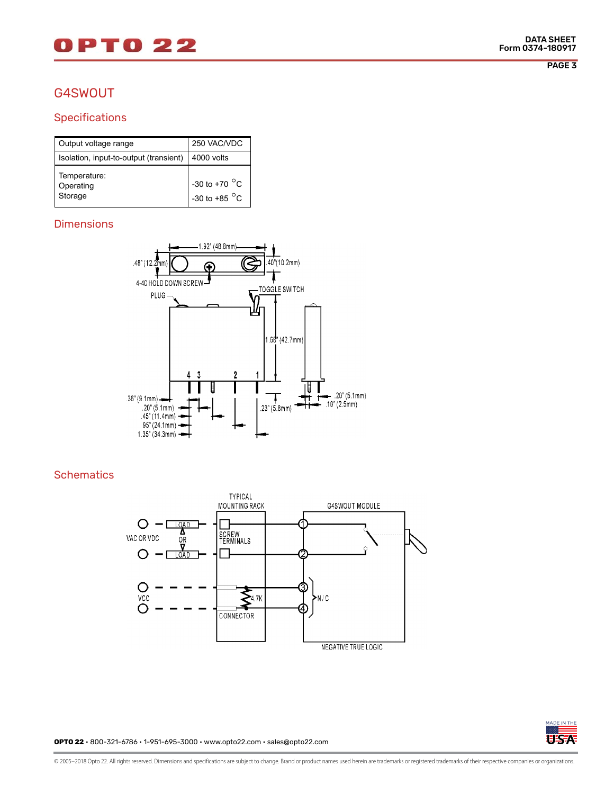# 0 P T 0 2 2

### G4SWOUT

#### **Specifications**

| Output voltage range                   | 250 VAC/VDC                                             |
|----------------------------------------|---------------------------------------------------------|
| Isolation, input-to-output (transient) | $ 4000$ volts                                           |
| Temperature:<br>Operating<br>Storage   | -30 to +70 $^{\circ}$ C<br>$1 - 30$ to +85 $^{\circ}$ C |

#### **Dimensions**



#### **Schematics**





**OPTO 22** • 800-321-6786 • 1-951-695-3000 • www.opto22.com • sales@opto22.com

© 2005–2018 Opto 22. All rights reserved. Dimensions and specifications are subject to change. Brand or product names used herein are trademarks or registered trademarks of their respective companies or organizations.

PAGE 3